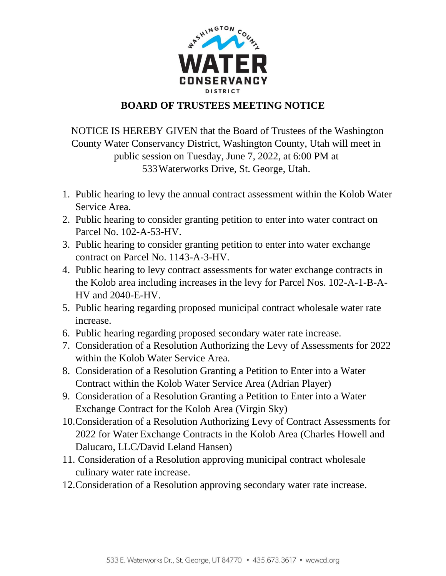

## **BOARD OF TRUSTEES MEETING NOTICE**

NOTICE IS HEREBY GIVEN that the Board of Trustees of the Washington County Water Conservancy District, Washington County, Utah will meet in public session on Tuesday, June 7, 2022, at 6:00 PM at 533Waterworks Drive, St. George, Utah.

- 1. Public hearing to levy the annual contract assessment within the Kolob Water Service Area.
- 2. Public hearing to consider granting petition to enter into water contract on Parcel No. 102-A-53-HV.
- 3. Public hearing to consider granting petition to enter into water exchange contract on Parcel No. 1143-A-3-HV.
- 4. Public hearing to levy contract assessments for water exchange contracts in the Kolob area including increases in the levy for Parcel Nos. 102-A-1-B-A-HV and 2040-E-HV.
- 5. Public hearing regarding proposed municipal contract wholesale water rate increase.
- 6. Public hearing regarding proposed secondary water rate increase.
- 7. Consideration of a Resolution Authorizing the Levy of Assessments for 2022 within the Kolob Water Service Area.
- 8. Consideration of a Resolution Granting a Petition to Enter into a Water Contract within the Kolob Water Service Area (Adrian Player)
- 9. Consideration of a Resolution Granting a Petition to Enter into a Water Exchange Contract for the Kolob Area (Virgin Sky)
- 10.Consideration of a Resolution Authorizing Levy of Contract Assessments for 2022 for Water Exchange Contracts in the Kolob Area (Charles Howell and Dalucaro, LLC/David Leland Hansen)
- 11. Consideration of a Resolution approving municipal contract wholesale culinary water rate increase.
- 12.Consideration of a Resolution approving secondary water rate increase.